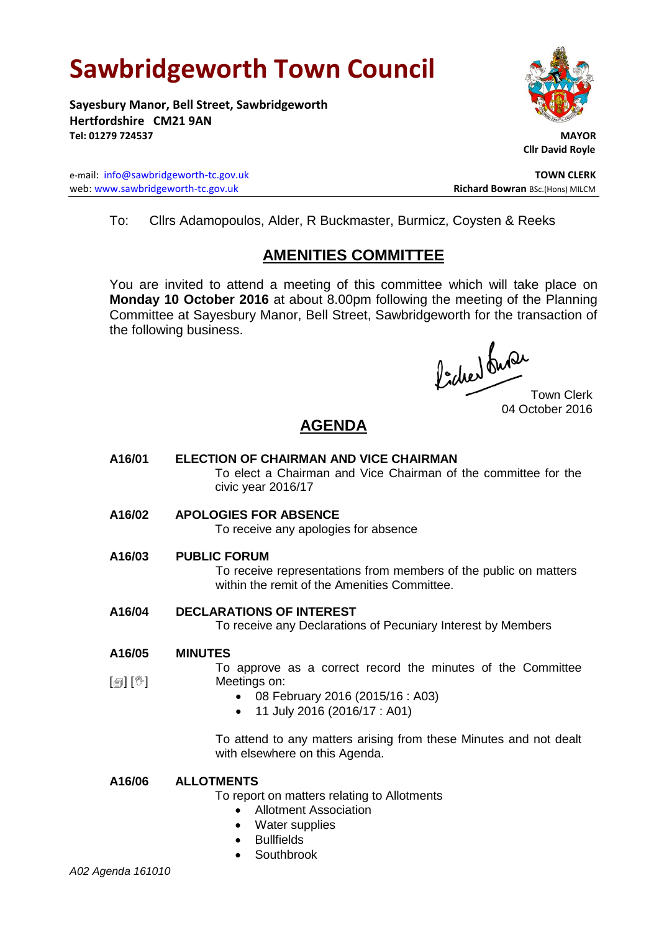# **Sawbridgeworth Town Council**

**Sayesbury Manor, Bell Street, Sawbridgeworth Hertfordshire CM21 9AN Tel: 01279 724537 MAYOR**

e-mail: [info@sawbridgeworth-tc.gov.uk](mailto:info@sawbridgeworth-tc.gov.uk) **TOWN CLERK** web: www.sawbridgeworth-tc.gov.uk<br>
Richard Bowran BSc.(Hons) MILCM



 **Cllr David Royle**

To: Cllrs Adamopoulos, Alder, R Buckmaster, Burmicz, Coysten & Reeks

# **AMENITIES COMMITTEE**

You are invited to attend a meeting of this committee which will take place on **Monday 10 October 2016** at about 8.00pm following the meeting of the Planning Committee at Sayesbury Manor, Bell Street, Sawbridgeworth for the transaction of the following business.

Procher bude

Town Clerk 04 October 2016

# **AGENDA**

- **A16/01 ELECTION OF CHAIRMAN AND VICE CHAIRMAN** To elect a Chairman and Vice Chairman of the committee for the civic year 2016/17
- **A16/02 APOLOGIES FOR ABSENCE**

To receive any apologies for absence

**A16/03 PUBLIC FORUM**

To receive representations from members of the public on matters within the remit of the Amenities Committee.

### **A16/04 DECLARATIONS OF INTEREST**

To receive any Declarations of Pecuniary Interest by Members

#### **A16/05 MINUTES**

To approve as a correct record the minutes of the Committee Meetings on:

- 08 February 2016 (2015/16 : A03)
- 11 July 2016 (2016/17 : A01)

To attend to any matters arising from these Minutes and not dealt with elsewhere on this Agenda.

## **A16/06 ALLOTMENTS**

To report on matters relating to Allotments

- Allotment Association
- Water supplies
- **•** Bullfields
- **Southbrook**

 $\lceil \blacksquare \rceil$   $\lceil \sqrt[6]{} \rceil$